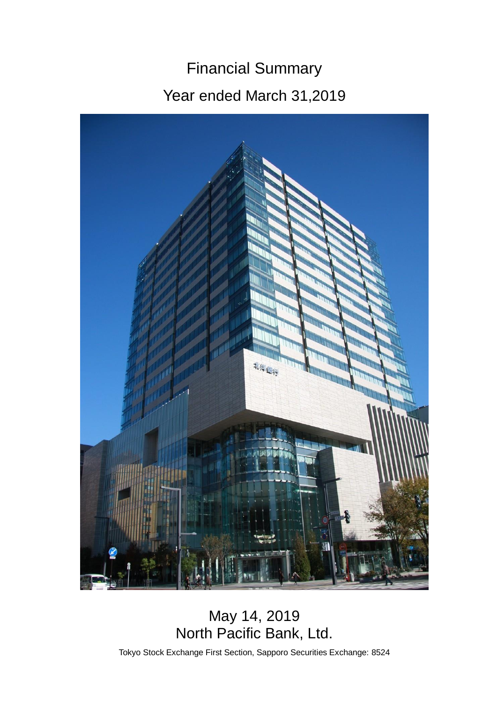# Financial Summary Year ended March 31,2019



# May 14, 2019 North Pacific Bank, Ltd.

Tokyo Stock Exchange First Section, Sapporo Securities Exchange: 8524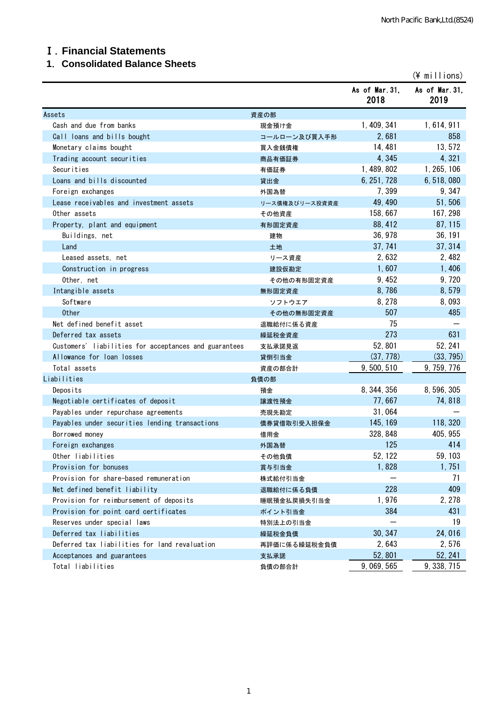#### Ⅰ.**Financial Statements**

# **1**.**Consolidated Balance Sheets**

|                                                       |                |                        | $(*)$ millions)        |
|-------------------------------------------------------|----------------|------------------------|------------------------|
|                                                       |                | As of Mar. 31,<br>2018 | As of Mar. 31,<br>2019 |
| Assets                                                | 資産の部           |                        |                        |
| Cash and due from banks                               | 現金預け金          | 1, 409, 341            | 1, 614, 911            |
| Call loans and bills bought                           | コールローン及び買入手形   | 2,681                  | 858                    |
| Monetary claims bought                                | 買入金銭債権         | 14, 481                | 13,572                 |
| Trading account securities                            | 商品有価証券         | 4,345                  | 4,321                  |
| Securities                                            | 有価証券           | 1, 489, 802            | 1, 265, 106            |
| Loans and bills discounted                            | 貸出金            | 6, 251, 728            | 6, 518, 080            |
| Foreign exchanges                                     | 外国為替           | 7,399                  | 9, 347                 |
| Lease receivables and investment assets               | リース債権及びリース投資資産 | 49, 490                | 51,506                 |
| Other assets                                          | その他資産          | 158, 667               | 167, 298               |
| Property, plant and equipment                         | 有形固定資産         | 88, 412                | 87, 115                |
| Buildings, net                                        | 建物             | 36, 978                | 36, 191                |
| Land                                                  | 土地             | 37, 741                | 37, 314                |
| Leased assets, net                                    | リース資産          | 2,632                  | 2,482                  |
| Construction in progress                              | 建設仮勘定          | 1,607                  | 1,406                  |
| Other, net                                            | その他の有形固定資産     | 9, 452                 | 9,720                  |
| Intangible assets                                     | 無形固定資産         | 8,786                  | 8,579                  |
| Software                                              | ソフトウエア         | 8, 278                 | 8,093                  |
| <b>Other</b>                                          | その他の無形固定資産     | 507                    | 485                    |
| Net defined benefit asset                             | 退職給付に係る資産      | 75                     |                        |
| Deferred tax assets                                   | 繰延税金資産         | 273                    | 631                    |
| Customers' liabilities for acceptances and guarantees | 支払承諾見返         | 52,801                 | 52, 241                |
| Allowance for loan losses                             | 貸倒引当金          | (37, 778)              | (33, 795)              |
| Total assets                                          | 資産の部合計         | 9, 500, 510            | 9, 759, 776            |
| Liabilities                                           | 負債の部           |                        |                        |
| Deposits                                              | 預金             | 8, 344, 356            | 8, 596, 305            |
| Negotiable certificates of deposit                    | 讓渡性預金          | 77,667                 | 74,818                 |
| Payables under repurchase agreements                  | 売現先勘定          | 31,064                 |                        |
| Payables under securities lending transactions        | 債券貸借取引受入担保金    | 145, 169               | 118, 320               |
| Borrowed money                                        | 借用金            | 328, 848               | 405, 955               |
| Foreign exchanges                                     | 外国為替           | 125                    | 414                    |
| Other liabilities                                     | その他負債          | 52, 122                | 59, 103                |
| Provision for bonuses                                 | 賞与引当金          | 1,828                  | 1,751                  |
| Provision for share-based remuneration                | 株式給付引当金        |                        | 71                     |
| Net defined benefit liability                         | 退職給付に係る負債      | 228                    | 409                    |
| Provision for reimbursement of deposits               | 睡眠預金払戻損失引当金    | 1,976                  | 2, 278                 |
| Provision for point card certificates                 | ポイント引当金        | 384                    | 431                    |
| Reserves under special laws                           | 特別法上の引当金       |                        | 19                     |
| Deferred tax liabilities                              | 繰延税金負債         | 30, 347                | 24,016                 |
| Deferred tax liabilities for land revaluation         | 再評価に係る繰延税金負債   | 2,643                  | 2,576                  |
| Acceptances and guarantees                            | 支払承諾           | 52,801                 | 52, 241                |
| Total liabilities                                     | 負債の部合計         | 9, 069, 565            | 9, 338, 715            |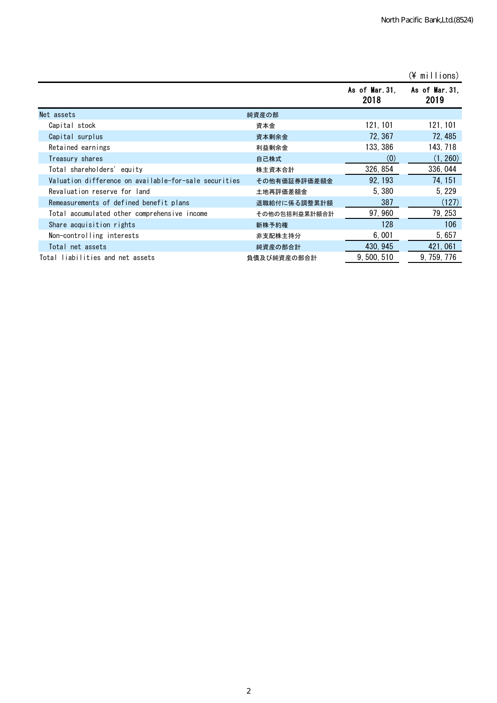|                                                       |               |                       | $(\frac{2}{3})$ millions) |
|-------------------------------------------------------|---------------|-----------------------|---------------------------|
|                                                       |               | As of Mar.31.<br>2018 | As of Mar.31,<br>2019     |
| Net assets                                            | 純資産の部         |                       |                           |
| Capital stock                                         | 資本金           | 121, 101              | 121, 101                  |
| Capital surplus                                       | 資本剰余金         | 72, 367               | 72, 485                   |
| Retained earnings                                     | 利益剰余金         | 133, 386              | 143, 718                  |
| Treasury shares                                       | 自己株式          | (0)                   | (1, 260)                  |
| Total shareholders' equity                            | 株主資本合計        | 326, 854              | 336, 044                  |
| Valuation difference on available-for-sale securities | その他有価証券評価差額金  | 92, 193               | 74.151                    |
| Revaluation reserve for land                          | 土地再評価差額金      | 5.380                 | 5, 229                    |
| Remeasurements of defined benefit plans               | 退職給付に係る調整累計額  | 387                   | (127)                     |
| Total accumulated other comprehensive income          | その他の包括利益累計額合計 | 97, 960               | 79, 253                   |
| Share acquisition rights                              | 新株予約権         | 128                   | 106                       |
| Non-controlling interests                             | 非支配株主持分       | 6,001                 | 5, 657                    |
| Total net assets                                      | 純資産の部合計       | 430, 945              | 421, 061                  |
| Total liabilities and net assets                      | 負債及び純資産の部合計   | 9,500,510             | 9, 759, 776               |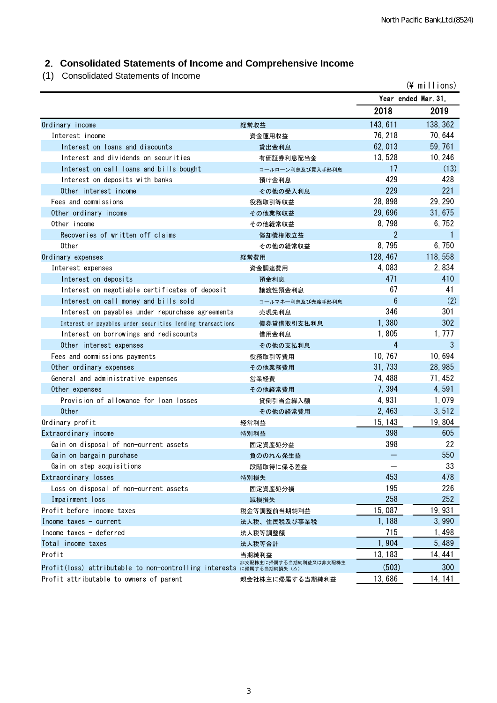# **2**.**Consolidated Statements of Income and Comprehensive Income**

(1) Consolidated Statements of Income

|                                                                      |                        |                | (¥ millions)        |
|----------------------------------------------------------------------|------------------------|----------------|---------------------|
|                                                                      |                        |                | Year ended Mar. 31. |
|                                                                      |                        | 2018           | 2019                |
| Ordinary income                                                      | 経常収益                   | 143, 611       | 138, 362            |
| Interest income                                                      | 資金運用収益                 | 76, 218        | 70, 644             |
| Interest on loans and discounts                                      | 貸出金利息                  | 62, 013        | 59, 761             |
| Interest and dividends on securities                                 | 有価証券利息配当金              | 13,528         | 10, 246             |
| Interest on call loans and bills bought                              | コールローン利息及び買入手形利息       | 17             | (13)                |
| Interest on deposits with banks                                      | 預け金利息                  | 429            | 428                 |
| Other interest income                                                | その他の受入利息               | 229            | 221                 |
| Fees and commissions                                                 | 役務取引等収益                | 28,898         | 29, 290             |
| Other ordinary income                                                | その他業務収益                | 29,696         | 31,675              |
| Other income                                                         | その他経常収益                | 8,798          | 6,752               |
| Recoveries of written off claims                                     | 償却債権取立益                | $\overline{2}$ |                     |
| 0ther                                                                | その他の経常収益               | 8,795          | 6, 750              |
| Ordinary expenses                                                    | 経常費用                   | 128, 467       | 118, 558            |
| Interest expenses                                                    | 資金調達費用                 | 4,083          | 2,834               |
| Interest on deposits                                                 | 預金利息                   | 471            | 410                 |
| Interest on negotiable certificates of deposit                       | 讓渡性預金利息                | 67             | 41                  |
| Interest on call money and bills sold                                | コールマネー利息及び売渡手形利息       | 6              | (2)                 |
| Interest on payables under repurchase agreements                     | 売現先利息                  | 346            | 301                 |
| Interest on payables under securities lending transactions           | 債券貸借取引支払利息             | 1,380          | 302                 |
| Interest on borrowings and rediscounts                               | 借用金利息                  | 1,805          | 1, 777              |
| Other interest expenses                                              | その他の支払利息               | 4              | 3                   |
| Fees and commissions payments                                        | 役務取引等費用                | 10, 767        | 10,694              |
| Other ordinary expenses                                              | その他業務費用                | 31, 733        | 28, 985             |
| General and administrative expenses                                  | 営業経費                   | 74, 488        | 71, 452             |
| Other expenses                                                       | その他経常費用                | 7,394          | 4,591               |
| Provision of allowance for loan losses                               | 貸倒引当金繰入額               | 4,931          | 1,079               |
| <b>Other</b>                                                         | その他の経常費用               | 2,463          | 3, 512              |
| Ordinary profit                                                      | 経常利益                   | 15, 143        | 19,804              |
| Extraordinary income                                                 | 特別利益                   | 398            | 605                 |
| Gain on disposal of non-current assets                               | 固定資産処分益                | 398            | 22                  |
| Gain on bargain purchase                                             | 負ののれん発生益               |                | 550                 |
| Gain on step acquisitions                                            | 段階取得に係る差益              |                | 33                  |
| Extraordinary losses                                                 | 特別損失                   | 453            | 478                 |
| Loss on disposal of non-current assets                               | 固定資産処分損                | 195            | 226                 |
| Impairment loss                                                      | 減損損失                   | 258            | 252                 |
| Profit before income taxes                                           | 税金等調整前当期純利益            | 15,087         | 19, 931             |
| Income taxes $-$ current                                             | 法人税、住民税及び事業税           | 1,188          | 3,990               |
| Income taxes - deferred                                              | 法人税等調整額                | 715            | 1,498               |
| Total income taxes                                                   | 法人税等合計                 | 1,904          | 5,489               |
| Profit                                                               | 当期純利益                  | 13, 183        | 14, 441             |
| Profit(loss) attributable to non-controlling interests に帰属する当期純損失(△) | 非支配株主に帰属する当期純利益又は非支配株主 | (503)          | 300                 |
| Profit attributable to owners of parent                              | 親会社株主に帰属する当期純利益        | 13,686         | 14, 141             |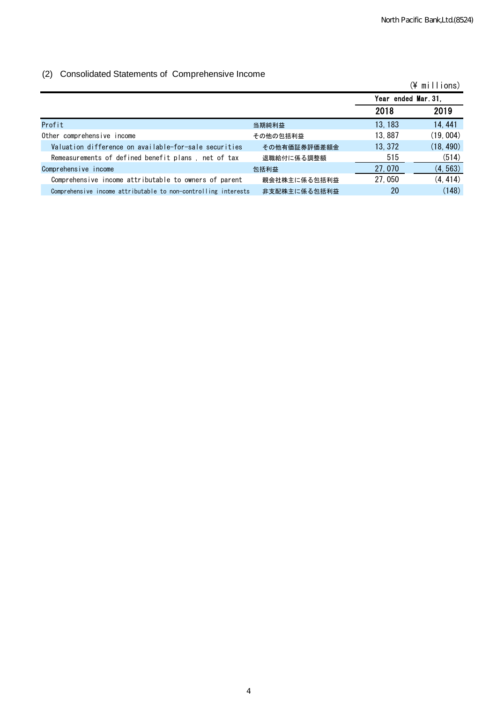#### (2) Consolidated Statements of Comprehensive Income

| $\sqrt{ }$                                                     |              |                     | $(\frac{2}{3})$ millions) |
|----------------------------------------------------------------|--------------|---------------------|---------------------------|
|                                                                |              | Year ended Mar. 31. |                           |
|                                                                |              | 2018                | 2019                      |
| Profit                                                         | 当期純利益        | 13, 183             | 14, 441                   |
| Other comprehensive income                                     | その他の包括利益     | 13,887              | (19, 004)                 |
| Valuation difference on available-for-sale securities          | その他有価証券評価差額金 | 13, 372             | (18, 490)                 |
| Remeasurements of defined benefit plans, net of tax            | 退職給付に係る調整額   | 515                 | (514)                     |
| Comprehensive income                                           | 包括利益         | 27,070              | (4, 563)                  |
| Comprehensive income attributable to owners of parent          | 親会社株主に係る包括利益 | 27,050              | (4, 414)                  |
| Comprehensive income attributable to non-controlling interests | 非支配株主に係る包括利益 | 20                  | (148)                     |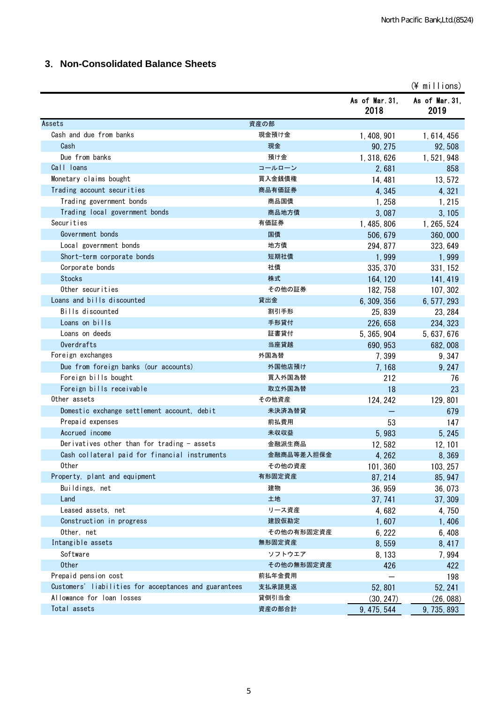# **3**.**Non-Consolidated Balance Sheets**

|                                                       |            |                        | $(\frac{4}{3}$ millions) |
|-------------------------------------------------------|------------|------------------------|--------------------------|
|                                                       |            | As of Mar. 31,<br>2018 | As of Mar. 31,<br>2019   |
| Assets                                                | 資産の部       |                        |                          |
| Cash and due from banks                               | 現金預け金      | 1, 408, 901            | 1, 614, 456              |
| Cash                                                  | 現金         | 90, 275                | 92,508                   |
| Due from banks                                        | 預け金        | 1, 318, 626            | 1, 521, 948              |
| Call loans                                            | コールローン     | 2,681                  | 858                      |
| Monetary claims bought                                | 買入金銭債権     | 14, 481                | 13,572                   |
| Trading account securities                            | 商品有価証券     | 4,345                  | 4,321                    |
| Trading government bonds                              | 商品国債       | 1,258                  | 1, 215                   |
| Trading local government bonds                        | 商品地方債      | 3,087                  | 3, 105                   |
| Securities                                            | 有価証券       | 1, 485, 806            | 1, 265, 524              |
| Government bonds                                      | 国債         | 506, 679               | 360,000                  |
| Local government bonds                                | 地方債        | 294, 877               | 323, 649                 |
| Short-term corporate bonds                            | 短期社債       | 1,999                  | 1,999                    |
| Corporate bonds                                       | 社債         | 335, 370               | 331, 152                 |
| <b>Stocks</b>                                         | 株式         | 164, 120               | 141, 419                 |
| Other securities                                      | その他の証券     | 182, 758               | 107, 302                 |
| Loans and bills discounted                            | 貸出金        | 6, 309, 356            | 6, 577, 293              |
| Bills discounted                                      | 割引手形       | 25, 839                | 23, 284                  |
| Loans on bills                                        | 手形貸付       | 226, 658               | 234, 323                 |
| Loans on deeds                                        | 証書貸付       | 5, 365, 904            | 5, 637, 676              |
| Overdrafts                                            | 当座貸越       | 690, 953               | 682,008                  |
| Foreign exchanges                                     | 外国為替       | 7,399                  | 9, 347                   |
| Due from foreign banks (our accounts)                 | 外国他店預け     | 7,168                  | 9, 247                   |
| Foreign bills bought                                  | 買入外国為替     | 212                    | 76                       |
| Foreign bills receivable                              | 取立外国為替     | 18                     | 23                       |
| Other assets                                          | その他資産      | 124, 242               | 129, 801                 |
| Domestic exchange settlement account, debit           | 未決済為替貸     |                        | 679                      |
| Prepaid expenses                                      | 前払費用       | 53                     | 147                      |
| Accrued income                                        | 未収収益       | 5,983                  | 5, 245                   |
| Derivatives other than for trading - assets           | 金融派生商品     | 12,582                 | 12, 101                  |
| Cash collateral paid for financial instruments        | 金融商品等差入担保金 | 4, 262                 | 8,369                    |
| Other                                                 | その他の資産     | 101, 360               | 103, 257                 |
| Property, plant and equipment                         | 有形固定資産     | 87, 214                | 85, 947                  |
| Buildings, net                                        | 建物         | 36, 959                | 36,073                   |
| Land                                                  | 土地         | 37, 741                | 37, 309                  |
| Leased assets, net                                    | リース資産      | 4,682                  | 4,750                    |
| Construction in progress                              | 建設仮勘定      | 1,607                  | 1,406                    |
| Other, net                                            | その他の有形固定資産 | 6, 222                 | 6,408                    |
| Intangible assets                                     | 無形固定資産     | 8,559                  | 8,417                    |
| Software                                              | ソフトウエア     | 8, 133                 | 7,994                    |
| 0ther                                                 | その他の無形固定資産 | 426                    | 422                      |
| Prepaid pension cost                                  | 前払年金費用     |                        | 198                      |
| Customers' liabilities for acceptances and guarantees | 支払承諾見返     | 52,801                 | 52, 241                  |
| Allowance for loan losses                             | 貸倒引当金      | (30, 247)              | (26, 088)                |
| Total assets                                          | 資産の部合計     | 9, 475, 544            | 9, 735, 893              |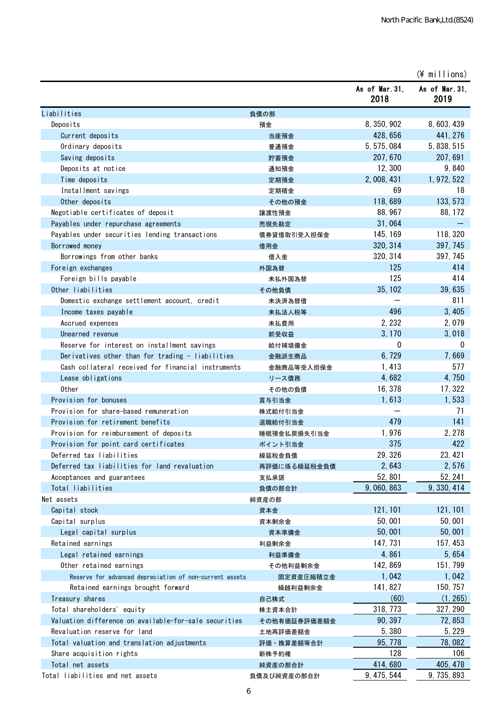(\ millions)

|                                                         |                      | As of Mar. 31,<br>2018 | As of Mar 31,<br>2019 |
|---------------------------------------------------------|----------------------|------------------------|-----------------------|
| Liabilities                                             | 負債の部                 |                        |                       |
| Deposits                                                | 預金                   | 8, 350, 902            | 8, 603, 439           |
| Current deposits                                        | 当座預金                 | 428, 656               | 441, 276              |
| Ordinary deposits                                       | 普通預金                 | 5, 575, 084            | 5, 838, 515           |
| Saving deposits                                         | 貯蓄預金                 | 207, 670               | 207, 691              |
| Deposits at notice                                      | 通知預金                 | 12,300                 | 9,840                 |
| Time deposits                                           | 定期預金                 | 2, 008, 431            | 1, 972, 522           |
| Installment savings                                     | 定期積金                 | 69                     | 18                    |
| Other deposits                                          | その他の預金               | 118,689                | 133, 573              |
| Negotiable certificates of deposit                      | 譲渡性預金                | 88, 967                | 88, 172               |
| Payables under repurchase agreements                    | 売現先勘定                | 31,064                 |                       |
| Payables under securities lending transactions          | 債券貸借取引受入担保金          | 145, 169               | 118, 320              |
| Borrowed money                                          | 借用金                  | 320, 314               | 397, 745              |
| Borrowings from other banks                             | 借入金                  | 320, 314               | 397, 745              |
| Foreign exchanges                                       | 外国為替                 | 125                    | 414                   |
| Foreign bills payable                                   | 未払外国為替               | 125                    | 414                   |
| Other liabilities                                       | その他負債                | 35, 102                | 39,635                |
| Domestic exchange settlement account, credit            | 未決済為替借               |                        | 811                   |
| Income taxes payable                                    | 未払法人税等               | 496                    | 3,405                 |
| Accrued expenses                                        | 未払費用                 | 2, 232                 | 2,079                 |
| Unearned revenue                                        | 前受収益                 | 3, 170                 | 3,018                 |
| Reserve for interest on installment savings             | 給付補填備金               | 0                      | 0                     |
| Derivatives other than for trading - liabilities        | 金融派生商品               | 6,729                  | 7,669                 |
| Cash collateral received for financial instruments      | 金融商品等受入担保金           | 1,413                  | 577                   |
| Lease obligations                                       | リース債務                | 4,682                  | 4,750                 |
| Other                                                   | その他の負債               | 16, 378                | 17, 322               |
| Provision for bonuses                                   | 賞与引当金                | 1,613                  | 1,533                 |
| Provision for share-based remuneration                  | 株式給付引当金              |                        | 71                    |
| Provision for retirement benefits                       | 退職給付引当金              | 479                    | 141                   |
| Provision for reimbursement of deposits                 | 睡眠預金払戻損失引当金          | 1,976                  | 2, 278                |
| Provision for point card certificates                   | ポイント引当金              | 375                    | 422                   |
| Deferred tax liabilities                                |                      | 29, 326                | 23, 421               |
| Deferred tax liabilities for land revaluation           | 繰延税金負債               | 2,643                  | 2,576                 |
|                                                         | 再評価に係る繰延税金負債<br>支払承諾 | 52,801                 | 52, 241               |
| Acceptances and guarantees<br>Total liabilities         |                      | 9, 060, 863            | 9, 330, 414           |
| Net assets                                              | 負債の部合計               |                        |                       |
| Capital stock                                           | 純資産の部<br>資本金         | 121, 101               | 121, 101              |
| Capital surplus                                         |                      | 50,001                 | 50,001                |
|                                                         | 資本剰余金                | 50,001                 | 50,001                |
| Legal capital surplus                                   | 資本準備金                |                        | 157, 453              |
| Retained earnings                                       | 利益剰余金                | 147, 731               |                       |
| Legal retained earnings                                 | 利益準備金                | 4,861                  | 5,654                 |
| Other retained earnings                                 | その他利益剰余金             | 142, 869               | 151, 799              |
| Reserve for advanced depreciation of non-current assets | 固定資産圧縮積立金            | 1,042                  | 1,042                 |
| Retained earnings brought forward                       | 繰越利益剰余金              | 141, 827               | 150, 757              |
| Treasury shares                                         | 自己株式                 | (60)                   | (1, 265)              |
| Total shareholders' equity                              | 株主資本合計               | 318, 773               | 327, 290              |
| Valuation difference on available-for-sale securities   | その他有価証券評価差額金         | 90, 397                | 72, 853               |
| Revaluation reserve for land                            | 土地再評価差額金             | 5,380                  | 5, 229                |
| Total valuation and translation adjustments             | 評価・換算差額等合計           | 95, 778                | 78,082                |
| Share acquisition rights                                | 新株予約権                | 128                    | 106                   |
| Total net assets                                        | 純資産の部合計              | 414,680                | 405, 478              |
| Total liabilities and net assets                        | 負債及び純資産の部合計          | 9, 475, 544            | 9, 735, 893           |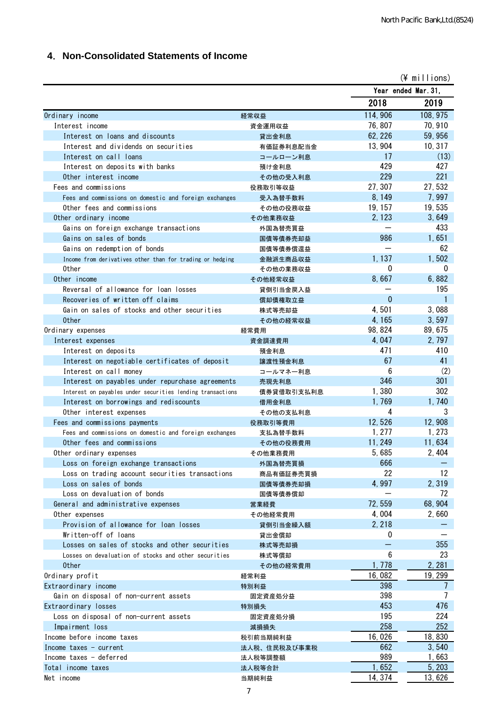# **4**.**Non-Consolidated Statements of Income**

| Year ended Mar. 31,<br>2018<br>2019<br>114, 906<br>108, 975<br>Ordinary income<br>経常収益<br>76,807<br>70, 910<br>Interest income<br>資金運用収益<br>62, 226<br>59,956<br>Interest on loans and discounts<br>貸出金利息<br>13, 904<br>10, 317<br>Interest and dividends on securities<br>有価証券利息配当金<br>17<br>(13)<br>Interest on call loans<br>コールローン利息<br>429<br>427<br>Interest on deposits with banks<br>預け金利息<br>221<br>229<br>Other interest income<br>その他の受入利息<br>27, 307<br>27,532<br>Fees and commissions<br>役務取引等収益<br>7,997<br>8, 149<br>Fees and commissions on domestic and foreign exchanges<br>受入為替手数料<br>19,535<br>19, 157<br>Other fees and commissions<br>その他の役務収益<br>2, 123<br>3,649<br>Other ordinary income<br>その他業務収益<br>433<br>Gains on foreign exchange transactions<br>外国為替売買益<br>986<br>1,651<br>Gains on sales of bonds<br>国債等債券売却益<br>62<br>Gains on redemption of bonds<br>国債等債券償還益<br>1, 137<br>1,502<br>Income from derivatives other than for trading or hedging<br>金融派生商品収益<br>0<br>0<br>0ther<br>その他の業務収益<br>8,667<br>6,882<br>Other income<br>その他経常収益<br>195<br>Reversal of allowance for loan losses<br>貸倒引当金戻入益<br>$\mathbf{0}$<br>1<br>Recoveries of written off claims<br>償却債権取立益<br>4,501<br>3,088<br>Gain on sales of stocks and other securities<br>株式等売却益<br>4, 165<br>3,597<br><b>Other</b><br>その他の経常収益<br>98, 824<br>89, 675<br>Ordinary expenses<br>経常費用<br>4,047<br>2, 797<br>資金調達費用<br>Interest expenses<br>471<br>410<br>Interest on deposits<br>預金利息<br>67<br>41<br>Interest on negotiable certificates of deposit<br>讓渡性預金利息<br>6<br>(2)<br>Interest on call money<br>コールマネー利息<br>346<br>301<br>Interest on payables under repurchase agreements<br>売現先利息<br>1,380<br>302<br>Interest on payables under securities lending transactions<br>債券貸借取引支払利息<br>1,769<br>1,740<br>Interest on borrowings and rediscounts<br>借用金利息<br>3<br>4<br>Other interest expenses<br>その他の支払利息<br>12,526<br>12,908<br>Fees and commissions payments<br>役務取引等費用<br>1, 277<br>1, 273<br>Fees and commissions on domestic and foreign exchanges<br>支払為替手数料<br>11,634<br>11, 249<br>Other fees and commissions<br>その他の役務費用<br>5,685<br>2, 404<br>Other ordinary expenses<br>その他業務費用<br>666<br>Loss on foreign exchange transactions<br>外国為替売買損<br>22<br>12<br>Loss on trading account securities transactions<br>商品有価証券売買損<br>4,997<br>2,319<br>Loss on sales of bonds<br>国債等債券売却損<br>72<br>Loss on devaluation of bonds<br>国債等債券償却<br>72,559<br>68, 904<br>General and administrative expenses<br>営業経費<br>4,004<br>2,660<br>Other expenses<br>その他経常費用<br>2.218<br>Provision of allowance for loan losses<br>貸倒引当金繰入額<br>Written-off of loans<br>0<br>貸出金償却<br>355<br>Losses on sales of stocks and other securities<br>株式等売却損<br>6<br>23<br>Losses on devaluation of stocks and other securities<br>株式等償却<br>1,778<br>2, 281<br><b>Other</b><br>その他の経常費用<br>16,082<br>19, 299<br>Ordinary profit<br>経常利益<br>398<br>Extraordinary income<br>7<br>特別利益<br>398<br>Gain on disposal of non-current assets<br>固定資産処分益<br>453<br>476<br>Extraordinary losses<br>特別損失<br>195<br>224<br>Loss on disposal of non-current assets<br>固定資産処分損<br>258<br>252<br>Impairment loss<br>減損損失<br>16,026<br>18,830<br>Income before income taxes<br>税引前当期純利益<br>662<br>3,540<br>Income taxes $-$ current<br>法人税、住民税及び事業税<br>989<br>Income taxes - deferred<br>1,663<br>法人税等調整額<br>1,652<br>5, 203<br>Total income taxes<br>法人税等合計<br>14, 374<br>13,626<br>Net income<br>当期純利益 |  | $(*)$ millions) |
|------------------------------------------------------------------------------------------------------------------------------------------------------------------------------------------------------------------------------------------------------------------------------------------------------------------------------------------------------------------------------------------------------------------------------------------------------------------------------------------------------------------------------------------------------------------------------------------------------------------------------------------------------------------------------------------------------------------------------------------------------------------------------------------------------------------------------------------------------------------------------------------------------------------------------------------------------------------------------------------------------------------------------------------------------------------------------------------------------------------------------------------------------------------------------------------------------------------------------------------------------------------------------------------------------------------------------------------------------------------------------------------------------------------------------------------------------------------------------------------------------------------------------------------------------------------------------------------------------------------------------------------------------------------------------------------------------------------------------------------------------------------------------------------------------------------------------------------------------------------------------------------------------------------------------------------------------------------------------------------------------------------------------------------------------------------------------------------------------------------------------------------------------------------------------------------------------------------------------------------------------------------------------------------------------------------------------------------------------------------------------------------------------------------------------------------------------------------------------------------------------------------------------------------------------------------------------------------------------------------------------------------------------------------------------------------------------------------------------------------------------------------------------------------------------------------------------------------------------------------------------------------------------------------------------------------------------------------------------------------------------------------------------------------------------------------------------------------------------------------------------------------------------------------------------------------------------------------------------------------------------------------------------------------------------------------------------------------------------------------------------------------------------------------------------------------------------------------------|--|-----------------|
|                                                                                                                                                                                                                                                                                                                                                                                                                                                                                                                                                                                                                                                                                                                                                                                                                                                                                                                                                                                                                                                                                                                                                                                                                                                                                                                                                                                                                                                                                                                                                                                                                                                                                                                                                                                                                                                                                                                                                                                                                                                                                                                                                                                                                                                                                                                                                                                                                                                                                                                                                                                                                                                                                                                                                                                                                                                                                                                                                                                                                                                                                                                                                                                                                                                                                                                                                                                                                                                                        |  |                 |
|                                                                                                                                                                                                                                                                                                                                                                                                                                                                                                                                                                                                                                                                                                                                                                                                                                                                                                                                                                                                                                                                                                                                                                                                                                                                                                                                                                                                                                                                                                                                                                                                                                                                                                                                                                                                                                                                                                                                                                                                                                                                                                                                                                                                                                                                                                                                                                                                                                                                                                                                                                                                                                                                                                                                                                                                                                                                                                                                                                                                                                                                                                                                                                                                                                                                                                                                                                                                                                                                        |  |                 |
|                                                                                                                                                                                                                                                                                                                                                                                                                                                                                                                                                                                                                                                                                                                                                                                                                                                                                                                                                                                                                                                                                                                                                                                                                                                                                                                                                                                                                                                                                                                                                                                                                                                                                                                                                                                                                                                                                                                                                                                                                                                                                                                                                                                                                                                                                                                                                                                                                                                                                                                                                                                                                                                                                                                                                                                                                                                                                                                                                                                                                                                                                                                                                                                                                                                                                                                                                                                                                                                                        |  |                 |
|                                                                                                                                                                                                                                                                                                                                                                                                                                                                                                                                                                                                                                                                                                                                                                                                                                                                                                                                                                                                                                                                                                                                                                                                                                                                                                                                                                                                                                                                                                                                                                                                                                                                                                                                                                                                                                                                                                                                                                                                                                                                                                                                                                                                                                                                                                                                                                                                                                                                                                                                                                                                                                                                                                                                                                                                                                                                                                                                                                                                                                                                                                                                                                                                                                                                                                                                                                                                                                                                        |  |                 |
|                                                                                                                                                                                                                                                                                                                                                                                                                                                                                                                                                                                                                                                                                                                                                                                                                                                                                                                                                                                                                                                                                                                                                                                                                                                                                                                                                                                                                                                                                                                                                                                                                                                                                                                                                                                                                                                                                                                                                                                                                                                                                                                                                                                                                                                                                                                                                                                                                                                                                                                                                                                                                                                                                                                                                                                                                                                                                                                                                                                                                                                                                                                                                                                                                                                                                                                                                                                                                                                                        |  |                 |
|                                                                                                                                                                                                                                                                                                                                                                                                                                                                                                                                                                                                                                                                                                                                                                                                                                                                                                                                                                                                                                                                                                                                                                                                                                                                                                                                                                                                                                                                                                                                                                                                                                                                                                                                                                                                                                                                                                                                                                                                                                                                                                                                                                                                                                                                                                                                                                                                                                                                                                                                                                                                                                                                                                                                                                                                                                                                                                                                                                                                                                                                                                                                                                                                                                                                                                                                                                                                                                                                        |  |                 |
|                                                                                                                                                                                                                                                                                                                                                                                                                                                                                                                                                                                                                                                                                                                                                                                                                                                                                                                                                                                                                                                                                                                                                                                                                                                                                                                                                                                                                                                                                                                                                                                                                                                                                                                                                                                                                                                                                                                                                                                                                                                                                                                                                                                                                                                                                                                                                                                                                                                                                                                                                                                                                                                                                                                                                                                                                                                                                                                                                                                                                                                                                                                                                                                                                                                                                                                                                                                                                                                                        |  |                 |
|                                                                                                                                                                                                                                                                                                                                                                                                                                                                                                                                                                                                                                                                                                                                                                                                                                                                                                                                                                                                                                                                                                                                                                                                                                                                                                                                                                                                                                                                                                                                                                                                                                                                                                                                                                                                                                                                                                                                                                                                                                                                                                                                                                                                                                                                                                                                                                                                                                                                                                                                                                                                                                                                                                                                                                                                                                                                                                                                                                                                                                                                                                                                                                                                                                                                                                                                                                                                                                                                        |  |                 |
|                                                                                                                                                                                                                                                                                                                                                                                                                                                                                                                                                                                                                                                                                                                                                                                                                                                                                                                                                                                                                                                                                                                                                                                                                                                                                                                                                                                                                                                                                                                                                                                                                                                                                                                                                                                                                                                                                                                                                                                                                                                                                                                                                                                                                                                                                                                                                                                                                                                                                                                                                                                                                                                                                                                                                                                                                                                                                                                                                                                                                                                                                                                                                                                                                                                                                                                                                                                                                                                                        |  |                 |
|                                                                                                                                                                                                                                                                                                                                                                                                                                                                                                                                                                                                                                                                                                                                                                                                                                                                                                                                                                                                                                                                                                                                                                                                                                                                                                                                                                                                                                                                                                                                                                                                                                                                                                                                                                                                                                                                                                                                                                                                                                                                                                                                                                                                                                                                                                                                                                                                                                                                                                                                                                                                                                                                                                                                                                                                                                                                                                                                                                                                                                                                                                                                                                                                                                                                                                                                                                                                                                                                        |  |                 |
|                                                                                                                                                                                                                                                                                                                                                                                                                                                                                                                                                                                                                                                                                                                                                                                                                                                                                                                                                                                                                                                                                                                                                                                                                                                                                                                                                                                                                                                                                                                                                                                                                                                                                                                                                                                                                                                                                                                                                                                                                                                                                                                                                                                                                                                                                                                                                                                                                                                                                                                                                                                                                                                                                                                                                                                                                                                                                                                                                                                                                                                                                                                                                                                                                                                                                                                                                                                                                                                                        |  |                 |
|                                                                                                                                                                                                                                                                                                                                                                                                                                                                                                                                                                                                                                                                                                                                                                                                                                                                                                                                                                                                                                                                                                                                                                                                                                                                                                                                                                                                                                                                                                                                                                                                                                                                                                                                                                                                                                                                                                                                                                                                                                                                                                                                                                                                                                                                                                                                                                                                                                                                                                                                                                                                                                                                                                                                                                                                                                                                                                                                                                                                                                                                                                                                                                                                                                                                                                                                                                                                                                                                        |  |                 |
|                                                                                                                                                                                                                                                                                                                                                                                                                                                                                                                                                                                                                                                                                                                                                                                                                                                                                                                                                                                                                                                                                                                                                                                                                                                                                                                                                                                                                                                                                                                                                                                                                                                                                                                                                                                                                                                                                                                                                                                                                                                                                                                                                                                                                                                                                                                                                                                                                                                                                                                                                                                                                                                                                                                                                                                                                                                                                                                                                                                                                                                                                                                                                                                                                                                                                                                                                                                                                                                                        |  |                 |
|                                                                                                                                                                                                                                                                                                                                                                                                                                                                                                                                                                                                                                                                                                                                                                                                                                                                                                                                                                                                                                                                                                                                                                                                                                                                                                                                                                                                                                                                                                                                                                                                                                                                                                                                                                                                                                                                                                                                                                                                                                                                                                                                                                                                                                                                                                                                                                                                                                                                                                                                                                                                                                                                                                                                                                                                                                                                                                                                                                                                                                                                                                                                                                                                                                                                                                                                                                                                                                                                        |  |                 |
|                                                                                                                                                                                                                                                                                                                                                                                                                                                                                                                                                                                                                                                                                                                                                                                                                                                                                                                                                                                                                                                                                                                                                                                                                                                                                                                                                                                                                                                                                                                                                                                                                                                                                                                                                                                                                                                                                                                                                                                                                                                                                                                                                                                                                                                                                                                                                                                                                                                                                                                                                                                                                                                                                                                                                                                                                                                                                                                                                                                                                                                                                                                                                                                                                                                                                                                                                                                                                                                                        |  |                 |
|                                                                                                                                                                                                                                                                                                                                                                                                                                                                                                                                                                                                                                                                                                                                                                                                                                                                                                                                                                                                                                                                                                                                                                                                                                                                                                                                                                                                                                                                                                                                                                                                                                                                                                                                                                                                                                                                                                                                                                                                                                                                                                                                                                                                                                                                                                                                                                                                                                                                                                                                                                                                                                                                                                                                                                                                                                                                                                                                                                                                                                                                                                                                                                                                                                                                                                                                                                                                                                                                        |  |                 |
|                                                                                                                                                                                                                                                                                                                                                                                                                                                                                                                                                                                                                                                                                                                                                                                                                                                                                                                                                                                                                                                                                                                                                                                                                                                                                                                                                                                                                                                                                                                                                                                                                                                                                                                                                                                                                                                                                                                                                                                                                                                                                                                                                                                                                                                                                                                                                                                                                                                                                                                                                                                                                                                                                                                                                                                                                                                                                                                                                                                                                                                                                                                                                                                                                                                                                                                                                                                                                                                                        |  |                 |
|                                                                                                                                                                                                                                                                                                                                                                                                                                                                                                                                                                                                                                                                                                                                                                                                                                                                                                                                                                                                                                                                                                                                                                                                                                                                                                                                                                                                                                                                                                                                                                                                                                                                                                                                                                                                                                                                                                                                                                                                                                                                                                                                                                                                                                                                                                                                                                                                                                                                                                                                                                                                                                                                                                                                                                                                                                                                                                                                                                                                                                                                                                                                                                                                                                                                                                                                                                                                                                                                        |  |                 |
|                                                                                                                                                                                                                                                                                                                                                                                                                                                                                                                                                                                                                                                                                                                                                                                                                                                                                                                                                                                                                                                                                                                                                                                                                                                                                                                                                                                                                                                                                                                                                                                                                                                                                                                                                                                                                                                                                                                                                                                                                                                                                                                                                                                                                                                                                                                                                                                                                                                                                                                                                                                                                                                                                                                                                                                                                                                                                                                                                                                                                                                                                                                                                                                                                                                                                                                                                                                                                                                                        |  |                 |
|                                                                                                                                                                                                                                                                                                                                                                                                                                                                                                                                                                                                                                                                                                                                                                                                                                                                                                                                                                                                                                                                                                                                                                                                                                                                                                                                                                                                                                                                                                                                                                                                                                                                                                                                                                                                                                                                                                                                                                                                                                                                                                                                                                                                                                                                                                                                                                                                                                                                                                                                                                                                                                                                                                                                                                                                                                                                                                                                                                                                                                                                                                                                                                                                                                                                                                                                                                                                                                                                        |  |                 |
|                                                                                                                                                                                                                                                                                                                                                                                                                                                                                                                                                                                                                                                                                                                                                                                                                                                                                                                                                                                                                                                                                                                                                                                                                                                                                                                                                                                                                                                                                                                                                                                                                                                                                                                                                                                                                                                                                                                                                                                                                                                                                                                                                                                                                                                                                                                                                                                                                                                                                                                                                                                                                                                                                                                                                                                                                                                                                                                                                                                                                                                                                                                                                                                                                                                                                                                                                                                                                                                                        |  |                 |
|                                                                                                                                                                                                                                                                                                                                                                                                                                                                                                                                                                                                                                                                                                                                                                                                                                                                                                                                                                                                                                                                                                                                                                                                                                                                                                                                                                                                                                                                                                                                                                                                                                                                                                                                                                                                                                                                                                                                                                                                                                                                                                                                                                                                                                                                                                                                                                                                                                                                                                                                                                                                                                                                                                                                                                                                                                                                                                                                                                                                                                                                                                                                                                                                                                                                                                                                                                                                                                                                        |  |                 |
|                                                                                                                                                                                                                                                                                                                                                                                                                                                                                                                                                                                                                                                                                                                                                                                                                                                                                                                                                                                                                                                                                                                                                                                                                                                                                                                                                                                                                                                                                                                                                                                                                                                                                                                                                                                                                                                                                                                                                                                                                                                                                                                                                                                                                                                                                                                                                                                                                                                                                                                                                                                                                                                                                                                                                                                                                                                                                                                                                                                                                                                                                                                                                                                                                                                                                                                                                                                                                                                                        |  |                 |
|                                                                                                                                                                                                                                                                                                                                                                                                                                                                                                                                                                                                                                                                                                                                                                                                                                                                                                                                                                                                                                                                                                                                                                                                                                                                                                                                                                                                                                                                                                                                                                                                                                                                                                                                                                                                                                                                                                                                                                                                                                                                                                                                                                                                                                                                                                                                                                                                                                                                                                                                                                                                                                                                                                                                                                                                                                                                                                                                                                                                                                                                                                                                                                                                                                                                                                                                                                                                                                                                        |  |                 |
|                                                                                                                                                                                                                                                                                                                                                                                                                                                                                                                                                                                                                                                                                                                                                                                                                                                                                                                                                                                                                                                                                                                                                                                                                                                                                                                                                                                                                                                                                                                                                                                                                                                                                                                                                                                                                                                                                                                                                                                                                                                                                                                                                                                                                                                                                                                                                                                                                                                                                                                                                                                                                                                                                                                                                                                                                                                                                                                                                                                                                                                                                                                                                                                                                                                                                                                                                                                                                                                                        |  |                 |
|                                                                                                                                                                                                                                                                                                                                                                                                                                                                                                                                                                                                                                                                                                                                                                                                                                                                                                                                                                                                                                                                                                                                                                                                                                                                                                                                                                                                                                                                                                                                                                                                                                                                                                                                                                                                                                                                                                                                                                                                                                                                                                                                                                                                                                                                                                                                                                                                                                                                                                                                                                                                                                                                                                                                                                                                                                                                                                                                                                                                                                                                                                                                                                                                                                                                                                                                                                                                                                                                        |  |                 |
|                                                                                                                                                                                                                                                                                                                                                                                                                                                                                                                                                                                                                                                                                                                                                                                                                                                                                                                                                                                                                                                                                                                                                                                                                                                                                                                                                                                                                                                                                                                                                                                                                                                                                                                                                                                                                                                                                                                                                                                                                                                                                                                                                                                                                                                                                                                                                                                                                                                                                                                                                                                                                                                                                                                                                                                                                                                                                                                                                                                                                                                                                                                                                                                                                                                                                                                                                                                                                                                                        |  |                 |
|                                                                                                                                                                                                                                                                                                                                                                                                                                                                                                                                                                                                                                                                                                                                                                                                                                                                                                                                                                                                                                                                                                                                                                                                                                                                                                                                                                                                                                                                                                                                                                                                                                                                                                                                                                                                                                                                                                                                                                                                                                                                                                                                                                                                                                                                                                                                                                                                                                                                                                                                                                                                                                                                                                                                                                                                                                                                                                                                                                                                                                                                                                                                                                                                                                                                                                                                                                                                                                                                        |  |                 |
|                                                                                                                                                                                                                                                                                                                                                                                                                                                                                                                                                                                                                                                                                                                                                                                                                                                                                                                                                                                                                                                                                                                                                                                                                                                                                                                                                                                                                                                                                                                                                                                                                                                                                                                                                                                                                                                                                                                                                                                                                                                                                                                                                                                                                                                                                                                                                                                                                                                                                                                                                                                                                                                                                                                                                                                                                                                                                                                                                                                                                                                                                                                                                                                                                                                                                                                                                                                                                                                                        |  |                 |
|                                                                                                                                                                                                                                                                                                                                                                                                                                                                                                                                                                                                                                                                                                                                                                                                                                                                                                                                                                                                                                                                                                                                                                                                                                                                                                                                                                                                                                                                                                                                                                                                                                                                                                                                                                                                                                                                                                                                                                                                                                                                                                                                                                                                                                                                                                                                                                                                                                                                                                                                                                                                                                                                                                                                                                                                                                                                                                                                                                                                                                                                                                                                                                                                                                                                                                                                                                                                                                                                        |  |                 |
|                                                                                                                                                                                                                                                                                                                                                                                                                                                                                                                                                                                                                                                                                                                                                                                                                                                                                                                                                                                                                                                                                                                                                                                                                                                                                                                                                                                                                                                                                                                                                                                                                                                                                                                                                                                                                                                                                                                                                                                                                                                                                                                                                                                                                                                                                                                                                                                                                                                                                                                                                                                                                                                                                                                                                                                                                                                                                                                                                                                                                                                                                                                                                                                                                                                                                                                                                                                                                                                                        |  |                 |
|                                                                                                                                                                                                                                                                                                                                                                                                                                                                                                                                                                                                                                                                                                                                                                                                                                                                                                                                                                                                                                                                                                                                                                                                                                                                                                                                                                                                                                                                                                                                                                                                                                                                                                                                                                                                                                                                                                                                                                                                                                                                                                                                                                                                                                                                                                                                                                                                                                                                                                                                                                                                                                                                                                                                                                                                                                                                                                                                                                                                                                                                                                                                                                                                                                                                                                                                                                                                                                                                        |  |                 |
|                                                                                                                                                                                                                                                                                                                                                                                                                                                                                                                                                                                                                                                                                                                                                                                                                                                                                                                                                                                                                                                                                                                                                                                                                                                                                                                                                                                                                                                                                                                                                                                                                                                                                                                                                                                                                                                                                                                                                                                                                                                                                                                                                                                                                                                                                                                                                                                                                                                                                                                                                                                                                                                                                                                                                                                                                                                                                                                                                                                                                                                                                                                                                                                                                                                                                                                                                                                                                                                                        |  |                 |
|                                                                                                                                                                                                                                                                                                                                                                                                                                                                                                                                                                                                                                                                                                                                                                                                                                                                                                                                                                                                                                                                                                                                                                                                                                                                                                                                                                                                                                                                                                                                                                                                                                                                                                                                                                                                                                                                                                                                                                                                                                                                                                                                                                                                                                                                                                                                                                                                                                                                                                                                                                                                                                                                                                                                                                                                                                                                                                                                                                                                                                                                                                                                                                                                                                                                                                                                                                                                                                                                        |  |                 |
|                                                                                                                                                                                                                                                                                                                                                                                                                                                                                                                                                                                                                                                                                                                                                                                                                                                                                                                                                                                                                                                                                                                                                                                                                                                                                                                                                                                                                                                                                                                                                                                                                                                                                                                                                                                                                                                                                                                                                                                                                                                                                                                                                                                                                                                                                                                                                                                                                                                                                                                                                                                                                                                                                                                                                                                                                                                                                                                                                                                                                                                                                                                                                                                                                                                                                                                                                                                                                                                                        |  |                 |
|                                                                                                                                                                                                                                                                                                                                                                                                                                                                                                                                                                                                                                                                                                                                                                                                                                                                                                                                                                                                                                                                                                                                                                                                                                                                                                                                                                                                                                                                                                                                                                                                                                                                                                                                                                                                                                                                                                                                                                                                                                                                                                                                                                                                                                                                                                                                                                                                                                                                                                                                                                                                                                                                                                                                                                                                                                                                                                                                                                                                                                                                                                                                                                                                                                                                                                                                                                                                                                                                        |  |                 |
|                                                                                                                                                                                                                                                                                                                                                                                                                                                                                                                                                                                                                                                                                                                                                                                                                                                                                                                                                                                                                                                                                                                                                                                                                                                                                                                                                                                                                                                                                                                                                                                                                                                                                                                                                                                                                                                                                                                                                                                                                                                                                                                                                                                                                                                                                                                                                                                                                                                                                                                                                                                                                                                                                                                                                                                                                                                                                                                                                                                                                                                                                                                                                                                                                                                                                                                                                                                                                                                                        |  |                 |
|                                                                                                                                                                                                                                                                                                                                                                                                                                                                                                                                                                                                                                                                                                                                                                                                                                                                                                                                                                                                                                                                                                                                                                                                                                                                                                                                                                                                                                                                                                                                                                                                                                                                                                                                                                                                                                                                                                                                                                                                                                                                                                                                                                                                                                                                                                                                                                                                                                                                                                                                                                                                                                                                                                                                                                                                                                                                                                                                                                                                                                                                                                                                                                                                                                                                                                                                                                                                                                                                        |  |                 |
|                                                                                                                                                                                                                                                                                                                                                                                                                                                                                                                                                                                                                                                                                                                                                                                                                                                                                                                                                                                                                                                                                                                                                                                                                                                                                                                                                                                                                                                                                                                                                                                                                                                                                                                                                                                                                                                                                                                                                                                                                                                                                                                                                                                                                                                                                                                                                                                                                                                                                                                                                                                                                                                                                                                                                                                                                                                                                                                                                                                                                                                                                                                                                                                                                                                                                                                                                                                                                                                                        |  |                 |
|                                                                                                                                                                                                                                                                                                                                                                                                                                                                                                                                                                                                                                                                                                                                                                                                                                                                                                                                                                                                                                                                                                                                                                                                                                                                                                                                                                                                                                                                                                                                                                                                                                                                                                                                                                                                                                                                                                                                                                                                                                                                                                                                                                                                                                                                                                                                                                                                                                                                                                                                                                                                                                                                                                                                                                                                                                                                                                                                                                                                                                                                                                                                                                                                                                                                                                                                                                                                                                                                        |  |                 |
|                                                                                                                                                                                                                                                                                                                                                                                                                                                                                                                                                                                                                                                                                                                                                                                                                                                                                                                                                                                                                                                                                                                                                                                                                                                                                                                                                                                                                                                                                                                                                                                                                                                                                                                                                                                                                                                                                                                                                                                                                                                                                                                                                                                                                                                                                                                                                                                                                                                                                                                                                                                                                                                                                                                                                                                                                                                                                                                                                                                                                                                                                                                                                                                                                                                                                                                                                                                                                                                                        |  |                 |
|                                                                                                                                                                                                                                                                                                                                                                                                                                                                                                                                                                                                                                                                                                                                                                                                                                                                                                                                                                                                                                                                                                                                                                                                                                                                                                                                                                                                                                                                                                                                                                                                                                                                                                                                                                                                                                                                                                                                                                                                                                                                                                                                                                                                                                                                                                                                                                                                                                                                                                                                                                                                                                                                                                                                                                                                                                                                                                                                                                                                                                                                                                                                                                                                                                                                                                                                                                                                                                                                        |  |                 |
|                                                                                                                                                                                                                                                                                                                                                                                                                                                                                                                                                                                                                                                                                                                                                                                                                                                                                                                                                                                                                                                                                                                                                                                                                                                                                                                                                                                                                                                                                                                                                                                                                                                                                                                                                                                                                                                                                                                                                                                                                                                                                                                                                                                                                                                                                                                                                                                                                                                                                                                                                                                                                                                                                                                                                                                                                                                                                                                                                                                                                                                                                                                                                                                                                                                                                                                                                                                                                                                                        |  |                 |
|                                                                                                                                                                                                                                                                                                                                                                                                                                                                                                                                                                                                                                                                                                                                                                                                                                                                                                                                                                                                                                                                                                                                                                                                                                                                                                                                                                                                                                                                                                                                                                                                                                                                                                                                                                                                                                                                                                                                                                                                                                                                                                                                                                                                                                                                                                                                                                                                                                                                                                                                                                                                                                                                                                                                                                                                                                                                                                                                                                                                                                                                                                                                                                                                                                                                                                                                                                                                                                                                        |  |                 |
|                                                                                                                                                                                                                                                                                                                                                                                                                                                                                                                                                                                                                                                                                                                                                                                                                                                                                                                                                                                                                                                                                                                                                                                                                                                                                                                                                                                                                                                                                                                                                                                                                                                                                                                                                                                                                                                                                                                                                                                                                                                                                                                                                                                                                                                                                                                                                                                                                                                                                                                                                                                                                                                                                                                                                                                                                                                                                                                                                                                                                                                                                                                                                                                                                                                                                                                                                                                                                                                                        |  |                 |
|                                                                                                                                                                                                                                                                                                                                                                                                                                                                                                                                                                                                                                                                                                                                                                                                                                                                                                                                                                                                                                                                                                                                                                                                                                                                                                                                                                                                                                                                                                                                                                                                                                                                                                                                                                                                                                                                                                                                                                                                                                                                                                                                                                                                                                                                                                                                                                                                                                                                                                                                                                                                                                                                                                                                                                                                                                                                                                                                                                                                                                                                                                                                                                                                                                                                                                                                                                                                                                                                        |  |                 |
|                                                                                                                                                                                                                                                                                                                                                                                                                                                                                                                                                                                                                                                                                                                                                                                                                                                                                                                                                                                                                                                                                                                                                                                                                                                                                                                                                                                                                                                                                                                                                                                                                                                                                                                                                                                                                                                                                                                                                                                                                                                                                                                                                                                                                                                                                                                                                                                                                                                                                                                                                                                                                                                                                                                                                                                                                                                                                                                                                                                                                                                                                                                                                                                                                                                                                                                                                                                                                                                                        |  |                 |
|                                                                                                                                                                                                                                                                                                                                                                                                                                                                                                                                                                                                                                                                                                                                                                                                                                                                                                                                                                                                                                                                                                                                                                                                                                                                                                                                                                                                                                                                                                                                                                                                                                                                                                                                                                                                                                                                                                                                                                                                                                                                                                                                                                                                                                                                                                                                                                                                                                                                                                                                                                                                                                                                                                                                                                                                                                                                                                                                                                                                                                                                                                                                                                                                                                                                                                                                                                                                                                                                        |  |                 |
|                                                                                                                                                                                                                                                                                                                                                                                                                                                                                                                                                                                                                                                                                                                                                                                                                                                                                                                                                                                                                                                                                                                                                                                                                                                                                                                                                                                                                                                                                                                                                                                                                                                                                                                                                                                                                                                                                                                                                                                                                                                                                                                                                                                                                                                                                                                                                                                                                                                                                                                                                                                                                                                                                                                                                                                                                                                                                                                                                                                                                                                                                                                                                                                                                                                                                                                                                                                                                                                                        |  |                 |
|                                                                                                                                                                                                                                                                                                                                                                                                                                                                                                                                                                                                                                                                                                                                                                                                                                                                                                                                                                                                                                                                                                                                                                                                                                                                                                                                                                                                                                                                                                                                                                                                                                                                                                                                                                                                                                                                                                                                                                                                                                                                                                                                                                                                                                                                                                                                                                                                                                                                                                                                                                                                                                                                                                                                                                                                                                                                                                                                                                                                                                                                                                                                                                                                                                                                                                                                                                                                                                                                        |  |                 |
|                                                                                                                                                                                                                                                                                                                                                                                                                                                                                                                                                                                                                                                                                                                                                                                                                                                                                                                                                                                                                                                                                                                                                                                                                                                                                                                                                                                                                                                                                                                                                                                                                                                                                                                                                                                                                                                                                                                                                                                                                                                                                                                                                                                                                                                                                                                                                                                                                                                                                                                                                                                                                                                                                                                                                                                                                                                                                                                                                                                                                                                                                                                                                                                                                                                                                                                                                                                                                                                                        |  |                 |
|                                                                                                                                                                                                                                                                                                                                                                                                                                                                                                                                                                                                                                                                                                                                                                                                                                                                                                                                                                                                                                                                                                                                                                                                                                                                                                                                                                                                                                                                                                                                                                                                                                                                                                                                                                                                                                                                                                                                                                                                                                                                                                                                                                                                                                                                                                                                                                                                                                                                                                                                                                                                                                                                                                                                                                                                                                                                                                                                                                                                                                                                                                                                                                                                                                                                                                                                                                                                                                                                        |  |                 |
|                                                                                                                                                                                                                                                                                                                                                                                                                                                                                                                                                                                                                                                                                                                                                                                                                                                                                                                                                                                                                                                                                                                                                                                                                                                                                                                                                                                                                                                                                                                                                                                                                                                                                                                                                                                                                                                                                                                                                                                                                                                                                                                                                                                                                                                                                                                                                                                                                                                                                                                                                                                                                                                                                                                                                                                                                                                                                                                                                                                                                                                                                                                                                                                                                                                                                                                                                                                                                                                                        |  |                 |
|                                                                                                                                                                                                                                                                                                                                                                                                                                                                                                                                                                                                                                                                                                                                                                                                                                                                                                                                                                                                                                                                                                                                                                                                                                                                                                                                                                                                                                                                                                                                                                                                                                                                                                                                                                                                                                                                                                                                                                                                                                                                                                                                                                                                                                                                                                                                                                                                                                                                                                                                                                                                                                                                                                                                                                                                                                                                                                                                                                                                                                                                                                                                                                                                                                                                                                                                                                                                                                                                        |  |                 |
|                                                                                                                                                                                                                                                                                                                                                                                                                                                                                                                                                                                                                                                                                                                                                                                                                                                                                                                                                                                                                                                                                                                                                                                                                                                                                                                                                                                                                                                                                                                                                                                                                                                                                                                                                                                                                                                                                                                                                                                                                                                                                                                                                                                                                                                                                                                                                                                                                                                                                                                                                                                                                                                                                                                                                                                                                                                                                                                                                                                                                                                                                                                                                                                                                                                                                                                                                                                                                                                                        |  |                 |
|                                                                                                                                                                                                                                                                                                                                                                                                                                                                                                                                                                                                                                                                                                                                                                                                                                                                                                                                                                                                                                                                                                                                                                                                                                                                                                                                                                                                                                                                                                                                                                                                                                                                                                                                                                                                                                                                                                                                                                                                                                                                                                                                                                                                                                                                                                                                                                                                                                                                                                                                                                                                                                                                                                                                                                                                                                                                                                                                                                                                                                                                                                                                                                                                                                                                                                                                                                                                                                                                        |  |                 |
|                                                                                                                                                                                                                                                                                                                                                                                                                                                                                                                                                                                                                                                                                                                                                                                                                                                                                                                                                                                                                                                                                                                                                                                                                                                                                                                                                                                                                                                                                                                                                                                                                                                                                                                                                                                                                                                                                                                                                                                                                                                                                                                                                                                                                                                                                                                                                                                                                                                                                                                                                                                                                                                                                                                                                                                                                                                                                                                                                                                                                                                                                                                                                                                                                                                                                                                                                                                                                                                                        |  |                 |
|                                                                                                                                                                                                                                                                                                                                                                                                                                                                                                                                                                                                                                                                                                                                                                                                                                                                                                                                                                                                                                                                                                                                                                                                                                                                                                                                                                                                                                                                                                                                                                                                                                                                                                                                                                                                                                                                                                                                                                                                                                                                                                                                                                                                                                                                                                                                                                                                                                                                                                                                                                                                                                                                                                                                                                                                                                                                                                                                                                                                                                                                                                                                                                                                                                                                                                                                                                                                                                                                        |  |                 |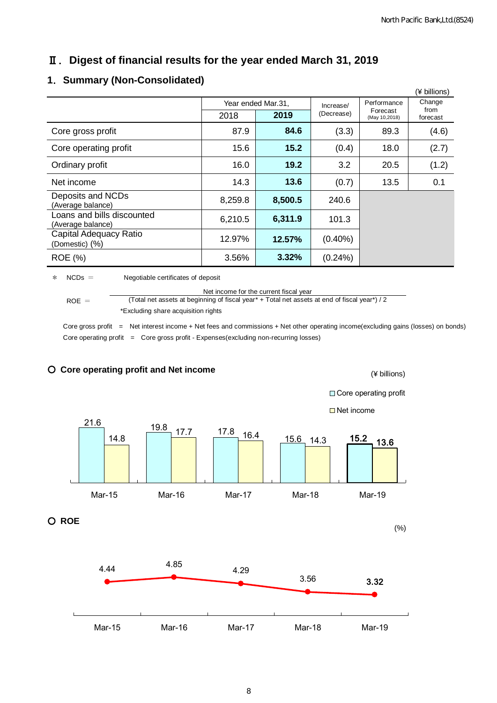# Ⅱ.**Digest of financial results for the year ended March 31, 2019**

#### (¥ billions) Year ended Mar.31, | Increase/ (Decrease) Performance 2018 **2019** (Decrease) Forecast from<br>  $\begin{array}{|c|c|c|c|c|}\n\hline\n\text{Aay 10,2018} & \text{forecast} & \text{forecast} \\
\hline\n\end{array}$ **Change** from<br>forecast Core gross profit 87.9 **84.6** (3.3) 89.3 (4.6) Core operating profit 15.6 **15.2** (0.4) 18.0 (2.7) Ordinary profit 16.0 **19.2** 3.2 20.5 (1.2) Net income 14.3 **13.6** (0.7) 13.5 0.1 Deposits and NCDs (Average balance) 8,259.8 **8,500.5** 240.6 Loans and bills discounted (Average balance) 6,210.5 **6,311.9** 101.3 Capital Adequacy Ratio (Domestic) (%) 12.97% **12.57%** (0.40%) ROE (%) 3.56% **3.32%** (0.24%)

#### **1**.**Summary (Non-Consolidated)**

\* NCDs = Negotiable certificates of deposit

 $ROE =$ Net income for the current fiscal year (Total net assets at beginning of fiscal year\* + Total net assets at end of fiscal year\*) / 2 \*Excluding share acquisition rights

Core gross profit = Net interest income + Net fees and commissions + Net other operating income(excluding gains (losses) on bonds) Core operating profit  $=$  Core gross profit - Expenses(excluding non-recurring losses)



#### ○ **Core operating profit and Net income**

8

(¥ billions)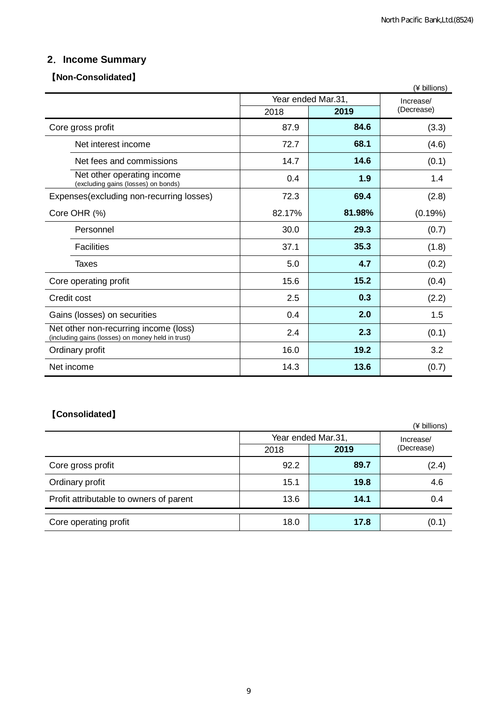# **2**.**Income Summary**

#### 【**Non-Consolidated**】

|                                                                                            |        |                    | (¥ billions) |  |
|--------------------------------------------------------------------------------------------|--------|--------------------|--------------|--|
|                                                                                            |        | Year ended Mar.31, | Increase/    |  |
|                                                                                            | 2018   | 2019               | (Decrease)   |  |
| Core gross profit                                                                          | 87.9   | 84.6               | (3.3)        |  |
| Net interest income                                                                        | 72.7   | 68.1               | (4.6)        |  |
| Net fees and commissions                                                                   | 14.7   | 14.6               | (0.1)        |  |
| Net other operating income<br>(excluding gains (losses) on bonds)                          | 0.4    | 1.9                | 1.4          |  |
| Expenses(excluding non-recurring losses)                                                   | 72.3   | 69.4               | (2.8)        |  |
| Core OHR (%)                                                                               | 82.17% | 81.98%             | (0.19%)      |  |
| Personnel                                                                                  | 30.0   | 29.3               | (0.7)        |  |
| <b>Facilities</b>                                                                          | 37.1   | 35.3               | (1.8)        |  |
| Taxes                                                                                      | 5.0    | 4.7                | (0.2)        |  |
| Core operating profit                                                                      | 15.6   | 15.2               | (0.4)        |  |
| Credit cost                                                                                | 2.5    | 0.3                | (2.2)        |  |
| Gains (losses) on securities                                                               | 0.4    | 2.0                | 1.5          |  |
| Net other non-recurring income (loss)<br>(including gains (losses) on money held in trust) | 2.4    | 2.3                | (0.1)        |  |
| Ordinary profit                                                                            | 16.0   | 19.2               | 3.2          |  |
| Net income                                                                                 | 14.3   | 13.6               | (0.7)        |  |

# 【**Consolidated**】

|                                         |      |                    | (¥ billions) |
|-----------------------------------------|------|--------------------|--------------|
|                                         |      | Year ended Mar.31, | Increase/    |
|                                         | 2018 | 2019               | (Decrease)   |
| Core gross profit                       | 92.2 | 89.7               | (2.4)        |
| Ordinary profit                         | 15.1 | 19.8               | 4.6          |
| Profit attributable to owners of parent | 13.6 | 14.1               | 0.4          |
| Core operating profit                   | 18.0 | 17.8               | (0.1)        |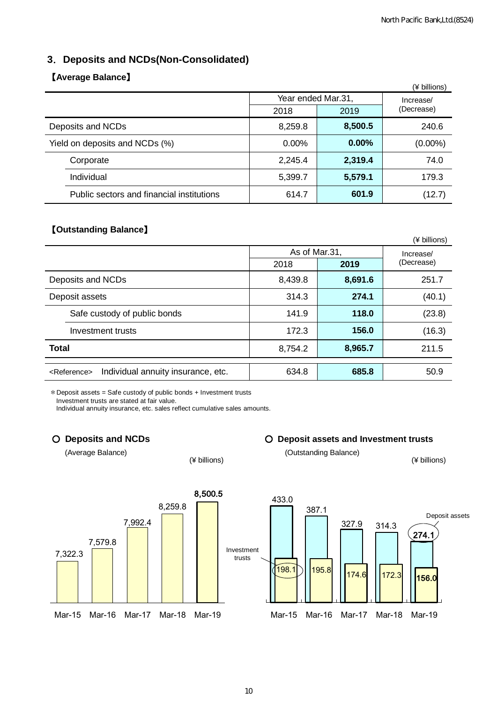#### **3**.**Deposits and NCDs(Non-Consolidated)**

#### 【**Average Balance**】

|                                           |          |                    | (¥ billions) |
|-------------------------------------------|----------|--------------------|--------------|
|                                           |          | Year ended Mar.31, | Increase/    |
|                                           | 2018     | 2019               | (Decrease)   |
| Deposits and NCDs                         | 8,259.8  | 8,500.5            | 240.6        |
| Yield on deposits and NCDs (%)            | $0.00\%$ | $0.00\%$           | $(0.00\%)$   |
| Corporate                                 | 2,245.4  | 2,319.4            | 74.0         |
| Individual                                | 5,399.7  | 5,579.1            | 179.3        |
| Public sectors and financial institutions | 614.7    | 601.9              | (12.7)       |

#### 【**Outstanding Balance**】

|                                                               |               |         | (¥ billions) |
|---------------------------------------------------------------|---------------|---------|--------------|
|                                                               | As of Mar.31, |         | Increase/    |
|                                                               | 2018          | 2019    | (Decrease)   |
| Deposits and NCDs                                             | 8,439.8       | 8,691.6 | 251.7        |
| Deposit assets                                                | 314.3         | 274.1   | (40.1)       |
| Safe custody of public bonds                                  | 141.9         | 118.0   | (23.8)       |
| Investment trusts                                             | 172.3         | 156.0   | (16.3)       |
| <b>Total</b>                                                  | 8,754.2       | 8,965.7 | 211.5        |
| Individual annuity insurance, etc.<br><reference></reference> | 634.8         | 685.8   | 50.9         |

\*Deposit assets = Safe custody of public bonds + Investment trusts

Investment trusts are stated at fair value.

Individual annuity insurance, etc. sales reflect cumulative sales amounts.



○ **Deposits and NCDs** ○ **Deposit assets and Investment trusts**

(Average Balance) (Average Balance) (4 billions) (3 millions)

(¥ billions) (¥ billions)

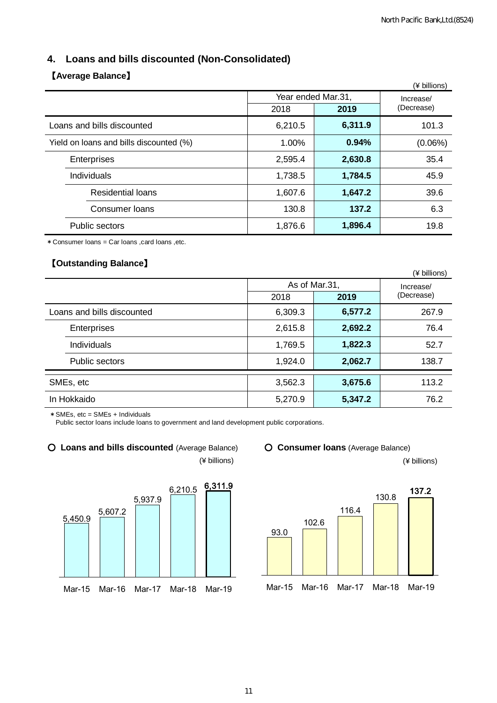# **4. Loans and bills discounted (Non-Consolidated)**

### 【**Average Balance**】

|                                         |         |                    | (¥ billions)            |
|-----------------------------------------|---------|--------------------|-------------------------|
|                                         |         | Year ended Mar.31, | Increase/<br>(Decrease) |
|                                         | 2018    | 2019               |                         |
| Loans and bills discounted              | 6,210.5 | 6,311.9            | 101.3                   |
| Yield on loans and bills discounted (%) | 1.00%   | 0.94%              | (0.06%)                 |
| Enterprises                             | 2,595.4 | 2,630.8            | 35.4                    |
| Individuals                             | 1,738.5 | 1,784.5            | 45.9                    |
| <b>Residential loans</b>                | 1,607.6 | 1,647.2            | 39.6                    |
| Consumer Ioans                          | 130.8   | 137.2              | 6.3                     |
| Public sectors                          | 1,876.6 | 1,896.4            | 19.8                    |

\*Consumer loans = Car loans ,card loans ,etc.

#### 【**Outstanding Balance**】

|             | . - --- <i>----</i> ---- - --- |         |               | (¥ billions) |
|-------------|--------------------------------|---------|---------------|--------------|
|             |                                |         | As of Mar.31, | Increase/    |
|             |                                | 2018    | 2019          | (Decrease)   |
|             | Loans and bills discounted     | 6,309.3 | 6,577.2       | 267.9        |
|             | Enterprises                    | 2,615.8 | 2,692.2       | 76.4         |
|             | Individuals                    | 1,769.5 | 1,822.3       | 52.7         |
|             | Public sectors                 | 1,924.0 | 2,062.7       | 138.7        |
| SMEs, etc   |                                | 3,562.3 | 3,675.6       | 113.2        |
| In Hokkaido |                                | 5,270.9 | 5,347.2       | 76.2         |

\*SMEs, etc = SMEs + Individuals

Public sector loans include loans to government and land development public corporations.

#### ○ **Loans and bills discounted** (Average Balance) ○ **Consumer loans** (Average Balance)

(¥ billions) (¥ billions)





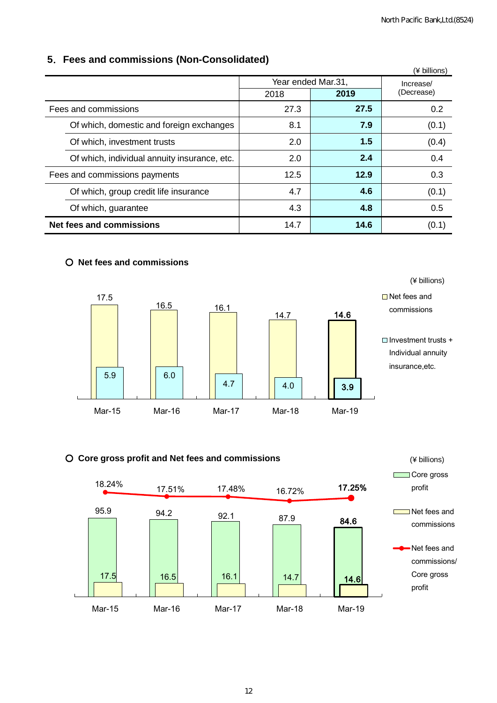#### **5**.**Fees and commissions (Non-Consolidated)**

|                                              |      |                    | (¥ billions) |  |
|----------------------------------------------|------|--------------------|--------------|--|
|                                              |      | Year ended Mar.31, |              |  |
|                                              | 2018 | 2019               | (Decrease)   |  |
| Fees and commissions                         | 27.3 | 27.5               | 0.2          |  |
| Of which, domestic and foreign exchanges     | 8.1  | 7.9                | (0.1)        |  |
| Of which, investment trusts                  | 2.0  | 1.5                | (0.4)        |  |
| Of which, individual annuity insurance, etc. | 2.0  | 2.4                | 0.4          |  |
| Fees and commissions payments                | 12.5 | 12.9               | 0.3          |  |
| Of which, group credit life insurance        | 4.7  | 4.6                | (0.1)        |  |
| Of which, guarantee                          | 4.3  | 4.8                | 0.5          |  |
| <b>Net fees and commissions</b>              | 14.7 | 14.6               | (0.1)        |  |

#### ○ **Net fees and commissions**



#### ○ **Core gross profit and Net fees and commissions**

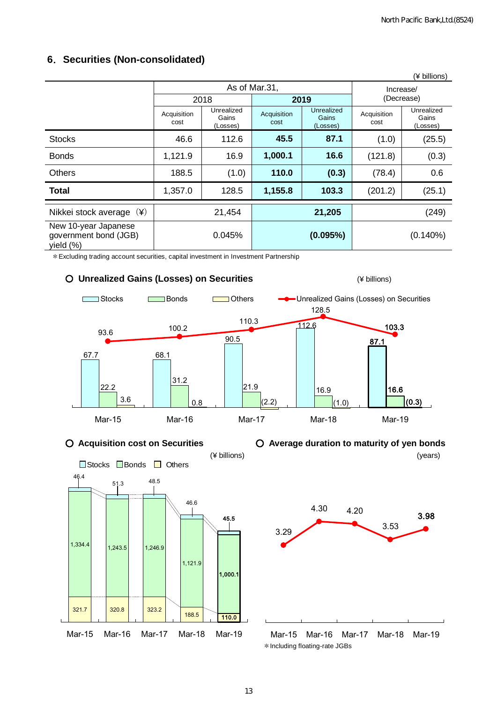| (¥ billions)                                               |                                                        |        |                     |                                 |                     |                                 |  |
|------------------------------------------------------------|--------------------------------------------------------|--------|---------------------|---------------------------------|---------------------|---------------------------------|--|
| As of Mar.31,                                              |                                                        |        |                     |                                 | Increase/           |                                 |  |
|                                                            |                                                        | 2018   | 2019                |                                 | (Decrease)          |                                 |  |
|                                                            | Unrealized<br>Acquisition<br>Gains<br>cost<br>(Losses) |        | Acquisition<br>cost | Unrealized<br>Gains<br>(Losses) | Acquisition<br>cost | Unrealized<br>Gains<br>(Losses) |  |
| <b>Stocks</b>                                              | 46.6                                                   | 112.6  | 45.5                | 87.1                            | (1.0)               | (25.5)                          |  |
| <b>Bonds</b>                                               | 1,121.9                                                | 16.9   | 1,000.1             | 16.6                            | (121.8)             | (0.3)                           |  |
| <b>Others</b>                                              | 188.5                                                  | (1.0)  | 110.0               | (0.3)                           | (78.4)              | 0.6                             |  |
| <b>Total</b>                                               | 1,357.0                                                | 128.5  | 1,155.8             | 103.3                           | (201.2)             | (25.1)                          |  |
| $(\yen)$<br>Nikkei stock average                           |                                                        | 21,454 |                     | 21,205                          |                     | (249)                           |  |
| New 10-year Japanese<br>government bond (JGB)<br>yield (%) |                                                        | 0.045% |                     | (0.095%)                        |                     | $(0.140\%)$                     |  |

#### **6**.**Securities (Non-consolidated)**

\*Excluding trading account securities, capital investment in Investment Partnership











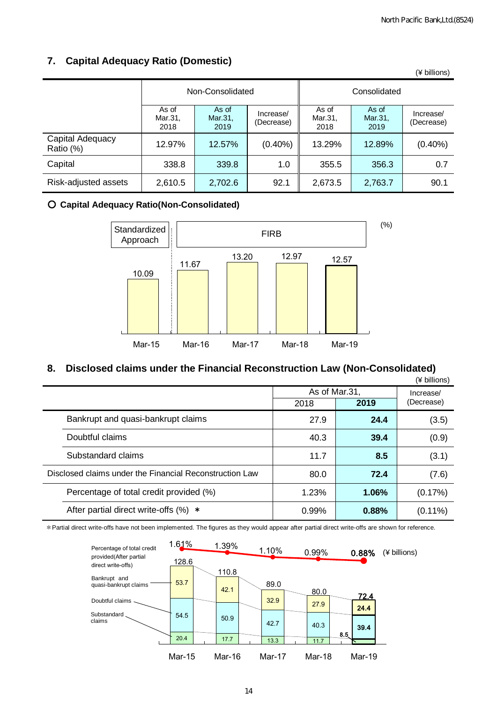# **7. Capital Adequacy Ratio (Domestic)**

|                               |                          |                          |                         |                          |                          | (¥ billions)            |
|-------------------------------|--------------------------|--------------------------|-------------------------|--------------------------|--------------------------|-------------------------|
|                               | Non-Consolidated         |                          |                         | Consolidated             |                          |                         |
|                               | As of<br>Mar.31,<br>2018 | As of<br>Mar.31,<br>2019 | Increase/<br>(Decrease) | As of<br>Mar.31,<br>2018 | As of<br>Mar.31,<br>2019 | Increase/<br>(Decrease) |
| Capital Adequacy<br>Ratio (%) | 12.97%                   | 12.57%                   | $(0.40\%)$              | 13.29%                   | 12.89%                   | $(0.40\%)$              |
| Capital                       | 338.8                    | 339.8                    | 1.0                     | 355.5                    | 356.3                    | 0.7                     |
| Risk-adjusted assets          | 2,610.5                  | 2,702.6                  | 92.1                    | 2,673.5                  | 2,763.7                  | 90.1                    |

#### ○ **Capital Adequacy Ratio(Non-Consolidated)**



#### **8. Disclosed claims under the Financial Reconstruction Law (Non-Consolidated)**

|                                                         |                                          |       |               | (¥ billions) |  |  |
|---------------------------------------------------------|------------------------------------------|-------|---------------|--------------|--|--|
|                                                         |                                          |       | As of Mar.31, |              |  |  |
|                                                         |                                          | 2018  | (Decrease)    |              |  |  |
|                                                         | Bankrupt and quasi-bankrupt claims       | 27.9  | 24.4          | (3.5)        |  |  |
|                                                         | Doubtful claims                          | 40.3  | 39.4          | (0.9)        |  |  |
|                                                         | Substandard claims                       | 11.7  | 8.5           | (3.1)        |  |  |
| Disclosed claims under the Financial Reconstruction Law |                                          | 80.0  | 72.4          | (7.6)        |  |  |
|                                                         | Percentage of total credit provided (%)  | 1.23% | 1.06%         | (0.17%)      |  |  |
|                                                         | After partial direct write-offs $(\%) *$ | 0.99% | 0.88%         | $(0.11\%)$   |  |  |

\*Partial direct write-offs have not been implemented. The figures as they would appear after partial direct write-offs are shown for reference.